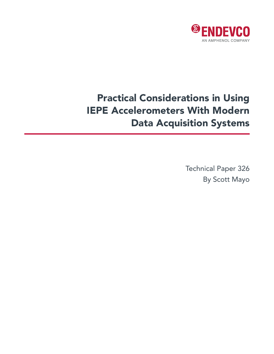

# Practical Considerations in Using IEPE Accelerometers With Modern Data Acquisition Systems

Technical Paper 326 By Scott Mayo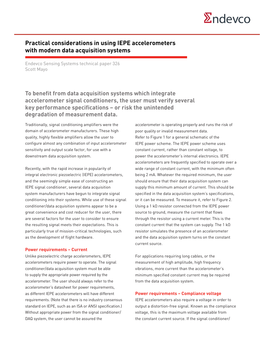

## **Practical considerations in using IEPE accelerometers with modern data acquisition systems**

Endevco Sensing Systems technical paper 326 Scott Mayo

# **To benefit from data acquisition systems which integrate accelerometer signal conditioners, the user must verify several key performance specifications – or risk the unintended degradation of measurement data.**

Traditionally, signal conditioning amplifiers were the domain of accelerometer manufacturers. These high quality, highly flexible amplifiers allow the user to configure almost any combination of input accelerometer sensitivity and output scale factor, for use with a downstream data acquisition system.

Recently, with the rapid increase in popularity of integral electronic piezoelectric (IEPE) accelerometers, and the seemingly simple ease of constructing an IEPE signal conditioner, several data acquisition system manufacturers have begun to integrate signal conditioning into their systems. While use of these signal conditioner/data acquisition systems appear to be a great convenience and cost reducer for the user, there are several factors for the user to consider to ensure the resulting signal meets their expectations. This is particularly true of mission-critical technologies, such as the development of flight hardware.

#### **Power requirements – Current**

Unlike piezoelectric charge accelerometers, IEPE accelerometers require power to operate. The signal conditioner/data acquisition system must be able to supply the appropriate power required by the accelerometer. The user should always refer to the accelerometer's datasheet for power requirements, as different IEPE accelerometers will have different requirements. (Note that there is no industry consensus standard on IEPE, such as an ISA or ANSI specification.) Without appropriate power from the signal conditioner/ DAQ system, the user cannot be assured the

accelerometer is operating properly and runs the risk of poor quality or invalid measurement data. Refer to Figure 1 for a general schematic of the IEPE power scheme. The IEPE power scheme uses constant current, rather than constant voltage, to power the accelerometer's internal electronics. IEPE accelerometers are frequently specified to operate over a wide range of constant current, with the minimum often being 2 mA. Whatever the required minimum, the user should ensure that their data acquisition system can supply this minimum amount of current. This should be specified in the data acquisition system's specifications, or it can be measured. To measure it, refer to Figure 2. Using a 1 kΩ resistor connected from the IEPE power source to ground, measure the current that flows through the resistor using a current meter. This is the constant current that the system can supply. The 1 kΩ resistor simulates the presence of an accelerometer and the data acquisition system turns on the constant current source.

For applications requiring long cables, or the measurement of high amplitude, high frequency vibrations, more current than the accelerometer's minimum specified constant current may be required from the data acquisition system.

#### **Power requirements – Compliance voltage**

IEPE accelerometers also require a voltage in order to output a distortion-free signal. Known as the compliance voltage, this is the maximum voltage available from the constant current source. If the signal conditioner/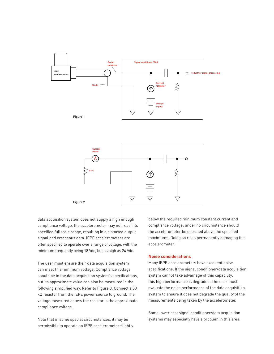

data acquisition system does not supply a high enough compliance voltage, the accelerometer may not reach its specified fullscale range, resulting in a distorted output signal and erroneous data. IEPE accelerometers are often specified to operate over a range of voltage, with the minimum frequently being 18 Vdc, but as high as 24 Vdc.

The user must ensure their data acquisition system can meet this minimum voltage. Compliance voltage should be in the data acquisition system's specifications, but its approximate value can also be measured in the following simplified way. Refer to Figure 3. Connect a 50 kΩ resistor from the IEPE power source to ground. The voltage measured across the resistor is the approximate compliance voltage.

Note that in some special circumstances, it may be permissible to operate an IEPE accelerometer slightly

below the required minimum constant current and compliance voltage; under no circumstance should the accelerometer be operated above the specified maximums. Doing so risks permanently damaging the accelerometer.

### **Noise considerations**

Many IEPE accelerometers have excellent noise specifications. If the signal conditioner/data acquisition system cannot take advantage of this capability, this high performance is degraded. The user must evaluate the noise performance of the data acquisition system to ensure it does not degrade the quality of the measurements being taken by the accelerometer.

Some lower cost signal conditioner/data acquisition systems may especially have a problem in this area.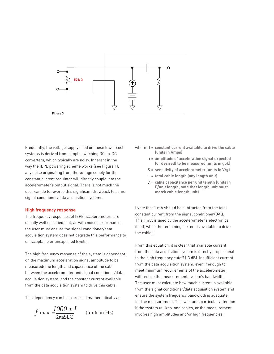

Frequently, the voltage supply used on these lower cost systems is derived from simple switching DC-to-DC converters, which typically are noisy. Inherent in the way the IEPE powering scheme works (see Figure 1), any noise originating from the voltage supply for the constant current regulator will directly couple into the accelerometer's output signal. There is not much the user can do to reverse this significant drawback to some signal conditioner/data acquisition systems.

#### **High frequency response**

The frequency responses of IEPE accelerometers are usually well specified, but, as with noise performance, the user must ensure the signal conditioner/data acquisition system does not degrade this performance to unacceptable or unexpected levels.

The high frequency response of the system is dependent on the maximum acceleration signal amplitude to be measured; the length and capacitance of the cable between the accelerometer and signal conditioner/data acquisition system; and the constant current available from the data acquisition system to drive this cable.

This dependency can be expressed mathematically as

$$
f \max = \frac{1000 \times I}{2\pi a SLC}
$$
 (units in Hz)

- where I = **constant current available to drive the cable (units in Amps)**
	- a = **amplitude of acceleration signal expected (or desired) to be measured (units in gpk)**
	- S = **sensitivity of accelerometer (units in V/g)**
	- L = **total cable length (any length unit)**
	- C = **cable capacitance per unit length (units in F/unit length, note that length unit must match cable length unit)**

(Note that 1 mA should be subtracted from the total constant current from the signal conditioner/DAQ. This 1 mA is used by the accelerometer's electronics itself, while the remaining current is available to drive the cable.)

From this equation, it is clear that available current from the data acquisition system is directly proportional to the high frequency cutoff (-3 dB). Insufficient current from the data acquisition system, even if enough to meet minimum requirements of the accelerometer, will reduce the measurement system's bandwidth. The user must calculate how much current is available from the signal conditioner/data acquisition system and ensure the system frequency bandwidth is adequate for the measurement. This warrants particular attention if the system utilizes long cables, or the measurement involves high amplitudes and/or high frequencies.